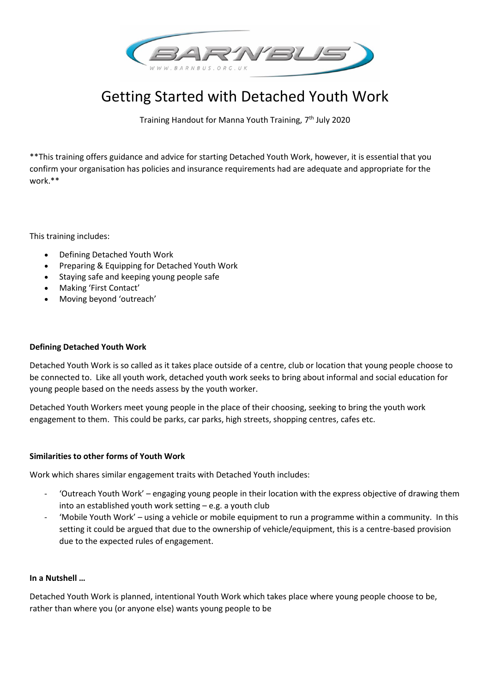

# Getting Started with Detached Youth Work

Training Handout for Manna Youth Training, 7<sup>th</sup> July 2020

\*\*This training offers guidance and advice for starting Detached Youth Work, however, it is essential that you confirm your organisation has policies and insurance requirements had are adequate and appropriate for the work.\*\*

This training includes:

- Defining Detached Youth Work
- Preparing & Equipping for Detached Youth Work
- Staying safe and keeping young people safe
- Making 'First Contact'
- Moving beyond 'outreach'

#### **Defining Detached Youth Work**

Detached Youth Work is so called as it takes place outside of a centre, club or location that young people choose to be connected to. Like all youth work, detached youth work seeks to bring about informal and social education for young people based on the needs assess by the youth worker.

Detached Youth Workers meet young people in the place of their choosing, seeking to bring the youth work engagement to them. This could be parks, car parks, high streets, shopping centres, cafes etc.

#### **Similarities to other forms of Youth Work**

Work which shares similar engagement traits with Detached Youth includes:

- 'Outreach Youth Work' engaging young people in their location with the express objective of drawing them into an established youth work setting – e.g. a youth club
- 'Mobile Youth Work' using a vehicle or mobile equipment to run a programme within a community. In this setting it could be argued that due to the ownership of vehicle/equipment, this is a centre-based provision due to the expected rules of engagement.

#### **In a Nutshell …**

Detached Youth Work is planned, intentional Youth Work which takes place where young people choose to be, rather than where you (or anyone else) wants young people to be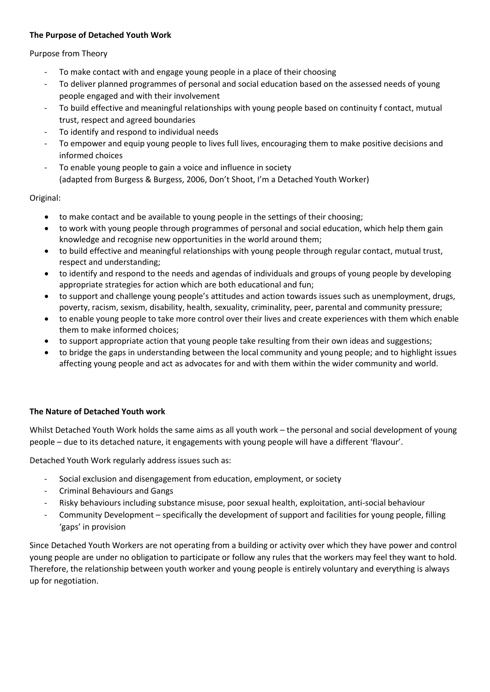# **The Purpose of Detached Youth Work**

# Purpose from Theory

- To make contact with and engage young people in a place of their choosing
- To deliver planned programmes of personal and social education based on the assessed needs of young people engaged and with their involvement
- To build effective and meaningful relationships with young people based on continuity f contact, mutual trust, respect and agreed boundaries
- To identify and respond to individual needs
- To empower and equip young people to lives full lives, encouraging them to make positive decisions and informed choices
- To enable young people to gain a voice and influence in society (adapted from Burgess & Burgess, 2006, Don't Shoot, I'm a Detached Youth Worker)

# Original:

- to make contact and be available to young people in the settings of their choosing;
- to work with young people through programmes of personal and social education, which help them gain knowledge and recognise new opportunities in the world around them;
- to build effective and meaningful relationships with young people through regular contact, mutual trust, respect and understanding;
- to identify and respond to the needs and agendas of individuals and groups of young people by developing appropriate strategies for action which are both educational and fun;
- to support and challenge young people's attitudes and action towards issues such as unemployment, drugs, poverty, racism, sexism, disability, health, sexuality, criminality, peer, parental and community pressure;
- to enable young people to take more control over their lives and create experiences with them which enable them to make informed choices;
- to support appropriate action that young people take resulting from their own ideas and suggestions;
- to bridge the gaps in understanding between the local community and young people; and to highlight issues affecting young people and act as advocates for and with them within the wider community and world.

# **The Nature of Detached Youth work**

Whilst Detached Youth Work holds the same aims as all youth work – the personal and social development of young people – due to its detached nature, it engagements with young people will have a different 'flavour'.

Detached Youth Work regularly address issues such as:

- Social exclusion and disengagement from education, employment, or society
- Criminal Behaviours and Gangs
- Risky behaviours including substance misuse, poor sexual health, exploitation, anti-social behaviour
- Community Development specifically the development of support and facilities for young people, filling 'gaps' in provision

Since Detached Youth Workers are not operating from a building or activity over which they have power and control young people are under no obligation to participate or follow any rules that the workers may feel they want to hold. Therefore, the relationship between youth worker and young people is entirely voluntary and everything is always up for negotiation.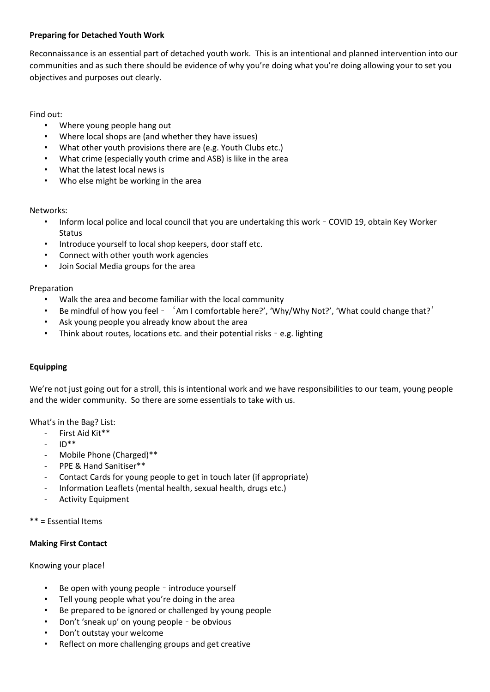# **Preparing for Detached Youth Work**

Reconnaissance is an essential part of detached youth work. This is an intentional and planned intervention into our communities and as such there should be evidence of why you're doing what you're doing allowing your to set you objectives and purposes out clearly.

#### Find out:

- Where young people hang out
- Where local shops are (and whether they have issues)
- What other youth provisions there are (e.g. Youth Clubs etc.)
- What crime (especially youth crime and ASB) is like in the area
- What the latest local news is
- Who else might be working in the area

#### Networks:

- Inform local police and local council that you are undertaking this work COVID 19, obtain Key Worker **Status**
- Introduce yourself to local shop keepers, door staff etc.
- Connect with other youth work agencies
- Join Social Media groups for the area

#### Preparation

- Walk the area and become familiar with the local community
- Be mindful of how you feel 'Am I comfortable here?', 'Why/Why Not?', 'What could change that?'
- Ask young people you already know about the area
- Think about routes, locations etc. and their potential risks e.g. lighting

# **Equipping**

We're not just going out for a stroll, this is intentional work and we have responsibilities to our team, young people and the wider community. So there are some essentials to take with us.

What's in the Bag? List:

- First Aid Kit\*\*
- $\mathsf{ID}^{**}$
- Mobile Phone (Charged)\*\*
- PPE & Hand Sanitiser\*\*
- Contact Cards for young people to get in touch later (if appropriate)
- Information Leaflets (mental health, sexual health, drugs etc.)
- Activity Equipment

```
** = Essential Items
```
#### **Making First Contact**

#### Knowing your place!

- Be open with young people introduce yourself
- Tell young people what you're doing in the area
- Be prepared to be ignored or challenged by young people
- Don't 'sneak up' on young people be obvious
- Don't outstay your welcome
- Reflect on more challenging groups and get creative